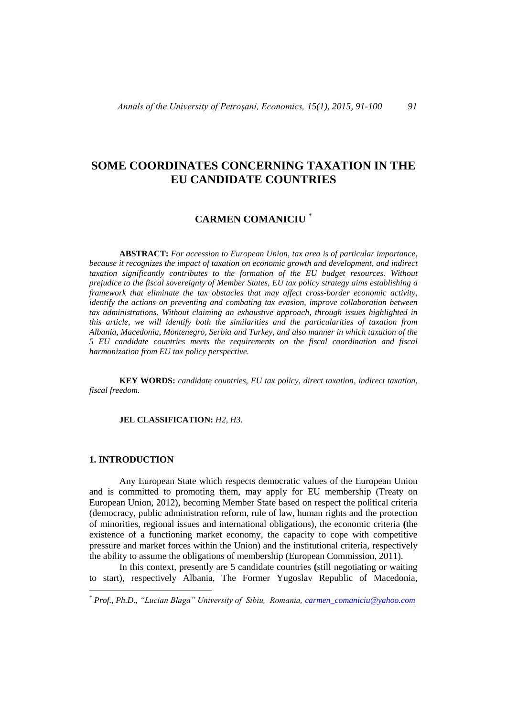# **SOME COORDINATES CONCERNING TAXATION IN THE EU CANDIDATE COUNTRIES**

# **CARMEN COMANICIU** \*

**ABSTRACT:** *For accession to European Union, tax area is of particular importance, because it recognizes the impact of taxation on economic growth and development, and indirect taxation significantly contributes to the formation of the EU budget resources. Without prejudice to the fiscal sovereignty of Member States, EU tax policy strategy aims establishing a framework that eliminate the tax obstacles that may affect cross-border economic activity, identify the actions on preventing and combating tax evasion, improve collaboration between tax administrations. Without claiming an exhaustive approach, through issues highlighted in this article, we will identify both the similarities and the particularities of taxation from Albania, Macedonia, Montenegro, Serbia and Turkey, and also manner in which taxation of the 5 EU candidate countries meets the requirements on the fiscal coordination and fiscal harmonization from EU tax policy perspective.*

**KEY WORDS:** *candidate countries, EU tax policy, direct taxation, indirect taxation, fiscal freedom.*

#### **JEL CLASSIFICATION:** *H2, H3*.

### **1. INTRODUCTION**

 $\overline{a}$ 

Any European State which respects democratic values of the European Union and is committed to promoting them, may apply for EU membership (Treaty on European Union, 2012), becoming Member State based on respect the political criteria (democracy, public administration reform, rule of law, human rights and the protection of minorities, regional issues and international obligations), the economic criteria **(**the existence of a functioning market economy, the capacity to cope with competitive pressure and market forces within the Union) and the institutional criteria, respectively the ability to assume the obligations of membership (European Commission, 2011).

In this context, presently are 5 candidate countries **(**still negotiating or waiting to start), respectively Albania, The Former Yugoslav Republic of Macedonia,

*<sup>\*</sup> Prof., Ph.D., "Lucian Blaga" University of Sibiu, Romania, [carmen\\_comaniciu@yahoo.com](mailto:carmen_comaniciu@yahoo.com)*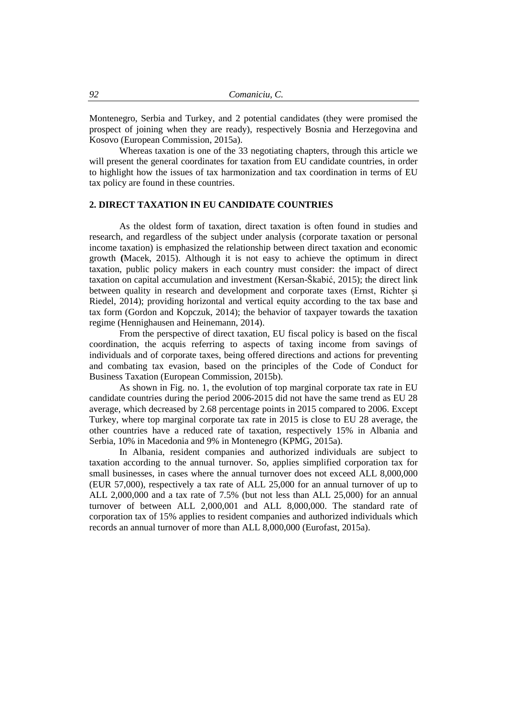Montenegro, Serbia and Turkey, and 2 potential candidates (they were promised the prospect of joining when they are ready), respectively Bosnia and Herzegovina and Kosovo (European Commission, 2015a).

Whereas taxation is one of the 33 negotiating chapters, through this article we will present the general coordinates for taxation from EU candidate countries, in order to highlight how the issues of tax harmonization and tax coordination in terms of EU tax policy are found in these countries.

### **2. DIRECT TAXATION IN EU CANDIDATE COUNTRIES**

As the oldest form of taxation, direct taxation is often found in studies and research, and regardless of the subject under analysis (corporate taxation or personal income taxation) is emphasized the relationship between direct taxation and economic growth **(**Macek, 2015). Although it is not easy to achieve the optimum in direct taxation, public policy makers in each country must consider: the impact of direct taxation on capital accumulation and investment (Kersan-Škabić, 2015); the direct link between quality in research and development and corporate taxes (Ernst, Richter și Riedel, 2014); providing horizontal and vertical equity according to the tax base and tax form (Gordon and Kopczuk, 2014); the behavior of taxpayer towards the taxation regime (Hennighausen and Heinemann, 2014).

From the perspective of direct taxation, EU fiscal policy is based on the fiscal coordination, the acquis referring to aspects of taxing income from savings of individuals and of corporate taxes, being offered directions and actions for preventing and combating tax evasion, based on the principles of the Code of Conduct for Business Taxation (European Commission, 2015b).

As shown in Fig. no. 1, the evolution of top marginal corporate tax rate in EU candidate countries during the period 2006-2015 did not have the same trend as EU 28 average, which decreased by 2.68 percentage points in 2015 compared to 2006. Except Turkey, where top marginal corporate tax rate in 2015 is close to EU 28 average, the other countries have a reduced rate of taxation, respectively 15% in Albania and Serbia, 10% in Macedonia and 9% in Montenegro (KPMG, 2015a).

In Albania, resident companies and authorized individuals are subject to taxation according to the annual turnover. So, applies simplified corporation tax for small businesses, in cases where the annual turnover does not exceed ALL 8,000,000 (EUR 57,000), respectively a tax rate of ALL 25,000 for an annual turnover of up to ALL 2,000,000 and a tax rate of 7.5% (but not less than ALL 25,000) for an annual turnover of between ALL 2,000,001 and ALL 8,000,000. The standard rate of corporation tax of 15% applies to resident companies and authorized individuals which records an annual turnover of more than ALL 8,000,000 (Eurofast, 2015a).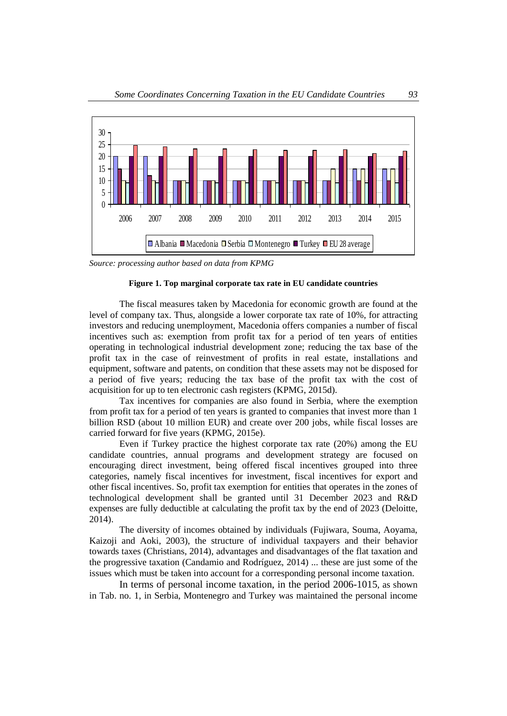

*Source: processing author based on data from KPMG*

### **Figure 1. Top marginal corporate tax rate in EU candidate countries**

The fiscal measures taken by Macedonia for economic growth are found at the level of company tax. Thus, alongside a lower corporate tax rate of 10%, for attracting investors and reducing unemployment, Macedonia offers companies a number of fiscal incentives such as: exemption from profit tax for a period of ten years of entities operating in technological industrial development zone; reducing the tax base of the profit tax in the case of reinvestment of profits in real estate, installations and equipment, software and patents, on condition that these assets may not be disposed for a period of five years; reducing the tax base of the profit tax with the cost of acquisition for up to ten electronic cash registers (KPMG, 2015d).

Tax incentives for companies are also found in Serbia, where the exemption from profit tax for a period of ten years is granted to companies that invest more than 1 billion RSD (about 10 million EUR) and create over 200 jobs, while fiscal losses are carried forward for five years (KPMG, 2015e).

Even if Turkey practice the highest corporate tax rate (20%) among the EU candidate countries, annual programs and development strategy are focused on encouraging direct investment, being offered fiscal incentives grouped into three categories, namely fiscal incentives for investment, fiscal incentives for export and other fiscal incentives. So, profit tax exemption for entities that operates in the zones of technological development shall be granted until 31 December 2023 and R&D expenses are fully deductible at calculating the profit tax by the end of 2023 (Deloitte, 2014).

The diversity of incomes obtained by individuals (Fujiwara, Souma, Aoyama, Kaizoji and Aoki, 2003), the structure of individual taxpayers and their behavior towards taxes (Christians, 2014), advantages and disadvantages of the flat taxation and the progressive taxation (Candamio and Rodríguez, 2014) ... these are just some of the issues which must be taken into account for a corresponding personal income taxation.

In terms of personal income taxation, in the period 2006-1015, as shown in Tab. no. 1, in Serbia, Montenegro and Turkey was maintained the personal income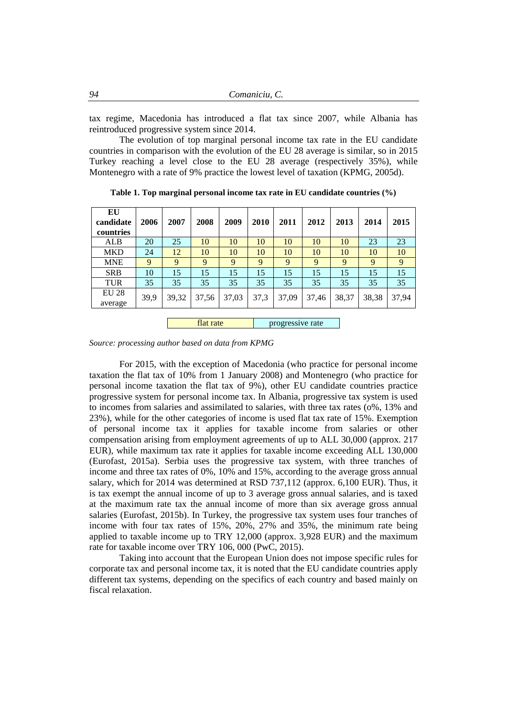| 94 | Comaniciu, C. |  |
|----|---------------|--|
|----|---------------|--|

tax regime, Macedonia has introduced a flat tax since 2007, while Albania has reintroduced progressive system since 2014.

The evolution of top marginal personal income tax rate in the EU candidate countries in comparison with the evolution of the EU 28 average is similar, so in 2015 Turkey reaching a level close to the EU 28 average (respectively 35%), while Montenegro with a rate of 9% practice the lowest level of taxation (KPMG, 2005d).

| EU<br>candidate<br>countries | 2006 | 2007  | 2008  | 2009             | 2010 | 2011  | 2012  | 2013  | 2014  | 2015  |
|------------------------------|------|-------|-------|------------------|------|-------|-------|-------|-------|-------|
| ALB                          | 20   | 25    | 10    | 10               | 10   | 10    | 10    | 10    | 23    | 23    |
| <b>MKD</b>                   | 24   | 12    | 10    | 10               | 10   | 10    | 10    | 10    | 10    | 10    |
| <b>MNE</b>                   | 9    | 9     | 9     | 9                | 9    | 9     | 9     | 9     | 9     | 9     |
| <b>SRB</b>                   | 10   | 15    | 15    | 15               | 15   | 15    | 15    | 15    | 15    | 15    |
| <b>TUR</b>                   | 35   | 35    | 35    | 35               | 35   | 35    | 35    | 35    | 35    | 35    |
| <b>EU 28</b><br>average      | 39,9 | 39,32 | 37,56 | 37,03            | 37,3 | 37,09 | 37,46 | 38,37 | 38,38 | 37,94 |
| flat rate                    |      |       |       | progressive rate |      |       |       |       |       |       |

**Table 1. Top marginal personal income tax rate in EU candidate countries (%)**

*Source: processing author based on data from KPMG*

For 2015, with the exception of Macedonia (who practice for personal income taxation the flat tax of 10% from 1 January 2008) and Montenegro (who practice for personal income taxation the flat tax of 9%), other EU candidate countries practice progressive system for personal income tax. In Albania, progressive tax system is used to incomes from salaries and assimilated to salaries, with three tax rates (o%, 13% and 23%), while for the other categories of income is used flat tax rate of 15%. Exemption of personal income tax it applies for taxable income from salaries or other compensation arising from employment agreements of up to ALL 30,000 (approx. 217 EUR), while maximum tax rate it applies for taxable income exceeding ALL 130,000 (Eurofast, 2015a). Serbia uses the progressive tax system, with three tranches of income and three tax rates of 0%, 10% and 15%, according to the average gross annual salary, which for 2014 was determined at RSD 737,112 (approx. 6,100 EUR). Thus, it is tax exempt the annual income of up to 3 average gross annual salaries, and is taxed at the maximum rate tax the annual income of more than six average gross annual salaries (Eurofast, 2015b). In Turkey, the progressive tax system uses four tranches of income with four tax rates of 15%, 20%, 27% and 35%, the minimum rate being applied to taxable income up to TRY 12,000 (approx. 3,928 EUR) and the maximum rate for taxable income over TRY 106, 000 (PwC, 2015).

Taking into account that the European Union does not impose specific rules for corporate tax and personal income tax, it is noted that the EU candidate countries apply different tax systems, depending on the specifics of each country and based mainly on fiscal relaxation.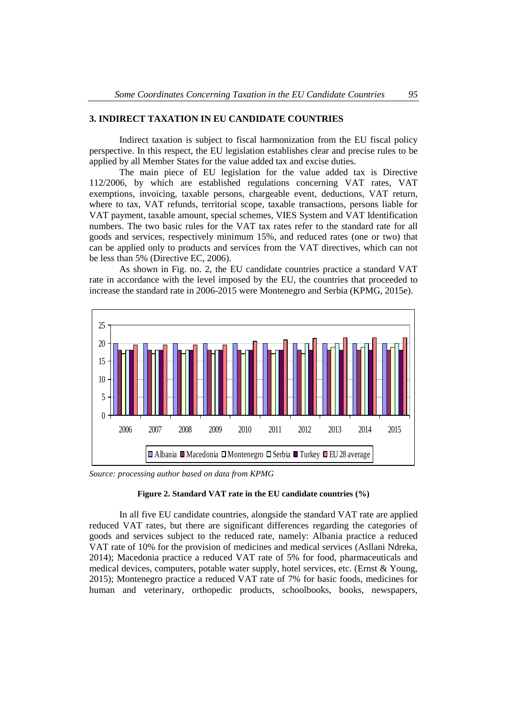## **3. INDIRECT TAXATION IN EU CANDIDATE COUNTRIES**

Indirect taxation is subject to fiscal harmonization from the EU fiscal policy perspective. In this respect, the EU legislation establishes clear and precise rules to be applied by all Member States for the value added tax and excise duties.

The main piece of EU legislation for the value added tax is Directive 112/2006, by which are established regulations concerning [VAT rates,](http://ec.europa.eu/taxation_customs/taxation/vat/topics/rates_en.htm) [VAT](http://ec.europa.eu/taxation_customs/taxation/vat/topics/exemptions/index_en.htm)  [exemptions,](http://ec.europa.eu/taxation_customs/taxation/vat/topics/exemptions/index_en.htm) [invoicing,](http://ec.europa.eu/taxation_customs/taxation/vat/topics/invoicing_en.htm) [taxable persons,](http://ec.europa.eu/taxation_customs/taxation/vat/topics/taxable_persons_en.htm) [chargeable event,](http://ec.europa.eu/taxation_customs/taxation/vat/topics/chargeable_en.htm) [deductions,](http://ec.europa.eu/taxation_customs/taxation/vat/topics/deductions_en.htm) [VAT return,](http://ec.europa.eu/taxation_customs/taxation/vat/topics/returns_en.htm) [where to tax,](http://ec.europa.eu/taxation_customs/taxation/vat/how_vat_works/vat_on_services/index_en.htm) [VAT refunds,](http://ec.europa.eu/taxation_customs/taxation/vat/topics/refund_en.htm) [territorial scope,](http://ec.europa.eu/taxation_customs/taxation/vat/topics/territorial_scope_en.htm) [taxable transactions,](http://ec.europa.eu/taxation_customs/taxation/vat/topics/transactions_en.htm) [persons liable for](http://ec.europa.eu/taxation_customs/taxation/vat/topics/person_liable_to_tax_en.htm)  [VAT payment,](http://ec.europa.eu/taxation_customs/taxation/vat/topics/person_liable_to_tax_en.htm) [taxable amount,](http://ec.europa.eu/taxation_customs/taxation/vat/topics/taxable_amount_en.htm) [special schemes,](http://ec.europa.eu/taxation_customs/taxation/vat/topics/special_schemes_en.htm) [VIES System](http://ec.europa.eu/taxation_customs/taxation/vat/traders/vat_number/index_en.htm) and [VAT Identification](http://ec.europa.eu/taxation_customs/taxation/vat/topics/vat_id_numbers_en.htm)  [numbers.](http://ec.europa.eu/taxation_customs/taxation/vat/topics/vat_id_numbers_en.htm) The two basic rules for the VAT tax rates refer to the standard rate for all goods and services, respectively minimum 15%, and reduced rates (one or two) that can be applied only to products and services from the VAT directives, which can not be less than 5% (Directive EC, 2006).

As shown in Fig. no. 2, the EU candidate countries practice a standard VAT rate in accordance with the level imposed by the EU, the countries that proceeded to increase the standard rate in 2006-2015 were Montenegro and Serbia (KPMG, 2015e).



*Source: processing author based on data from KPMG*

### **Figure 2. Standard VAT rate in the EU candidate countries (%)**

In all five EU candidate countries, alongside the standard VAT rate are applied reduced VAT rates, but there are significant differences regarding the categories of goods and services subject to the reduced rate, namely: Albania practice a reduced VAT rate of 10% for the provision of medicines and medical services (Asllani Ndreka, 2014); Macedonia practice a reduced VAT rate of 5% for food, pharmaceuticals and medical devices, computers, potable water supply, hotel services, etc. (Ernst & Young, 2015); Montenegro practice a reduced VAT rate of 7% for basic foods, medicines for human and veterinary, orthopedic products, schoolbooks, books, newspapers,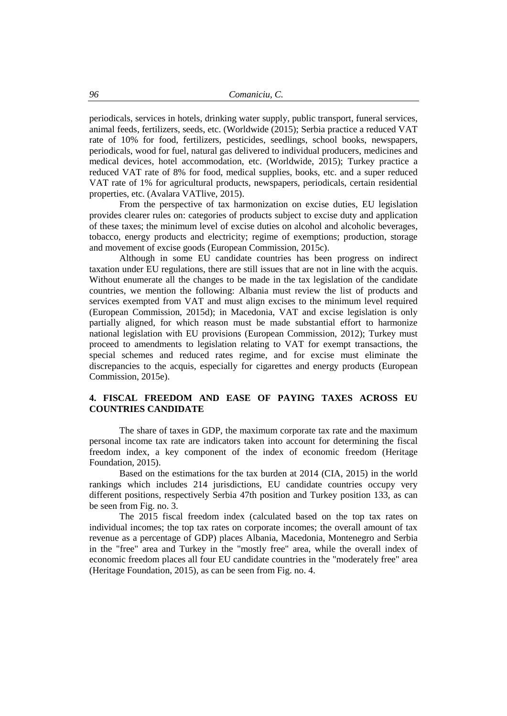periodicals, services in hotels, drinking water supply, public transport, funeral services, animal feeds, fertilizers, seeds, etc. (Worldwide (2015); Serbia practice a reduced VAT rate of 10% for food, fertilizers, pesticides, seedlings, school books, newspapers, periodicals, wood for fuel, natural gas delivered to individual producers, medicines and medical devices, hotel accommodation, etc. (Worldwide, 2015); Turkey practice a reduced VAT rate of 8% for food, medical supplies, books, etc. and a super reduced VAT rate of 1% for agricultural products, newspapers, periodicals, certain residential properties, etc. (Avalara VATlive, 2015).

From the perspective of tax harmonization on excise duties, EU legislation provides clearer rules on: categories of products subject to excise duty and application of these taxes; the minimum level of excise duties on alcohol and alcoholic beverages, tobacco, energy products and electricity; regime of exemptions; production, storage and movement of excise goods (European Commission, 2015c).

Although in some EU candidate countries has been progress on indirect taxation under EU regulations, there are still issues that are not in line with the acquis. Without enumerate all the changes to be made in the tax legislation of the candidate countries, we mention the following: Albania must review the list of products and services exempted from VAT and must align excises to the minimum level required (European Commission, 2015d); in Macedonia, VAT and excise legislation is only partially aligned, for which reason must be made substantial effort to harmonize national legislation with EU provisions (European Commission, 2012); Turkey must proceed to amendments to legislation relating to VAT for exempt transactions, the special schemes and reduced rates regime, and for excise must eliminate the discrepancies to the acquis, especially for cigarettes and energy products (European Commission, 2015e).

## **4. FISCAL FREEDOM AND EASE OF PAYING TAXES ACROSS EU COUNTRIES CANDIDATE**

The share of taxes in GDP, the maximum corporate tax rate and the maximum personal income tax rate are indicators taken into account for determining the fiscal freedom index, a key component of the index of economic freedom (Heritage Foundation, 2015).

Based on the estimations for the tax burden at 2014 (CIA, 2015) in the world rankings which includes 214 jurisdictions, EU candidate countries occupy very different positions, respectively Serbia 47th position and Turkey position 133, as can be seen from Fig. no. 3.

The 2015 fiscal freedom index (calculated based on the top tax rates on individual incomes; the top tax rates on corporate incomes; the overall amount of tax revenue as a percentage of GDP) places Albania, Macedonia, Montenegro and Serbia in the "free" area and Turkey in the "mostly free" area, while the overall index of economic freedom places all four EU candidate countries in the "moderately free" area (Heritage Foundation, 2015), as can be seen from Fig. no. 4.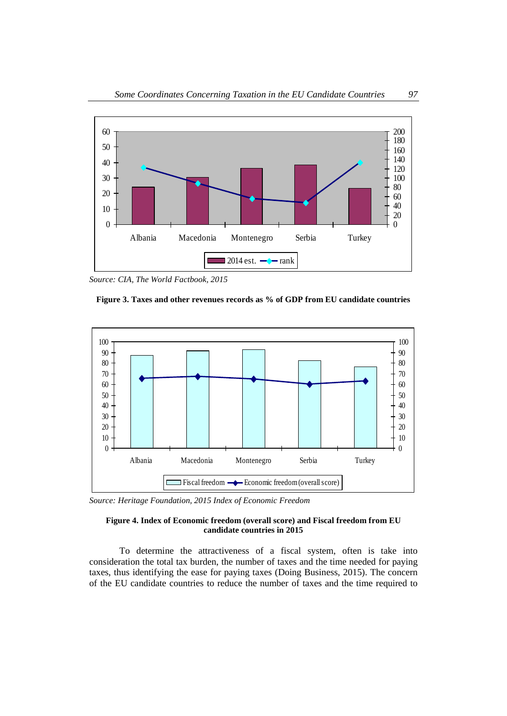

*Source: CIA, The World Factbook, 2015*





*Source: Heritage Foundation, 2015 Index of Economic Freedom*

#### **Figure 4. Index of Economic freedom (overall score) and Fiscal freedom from EU candidate countries in 2015**

To determine the attractiveness of a fiscal system, often is take into consideration the total tax burden, the number of taxes and the time needed for paying taxes, thus identifying the ease for paying taxes (Doing Business, 2015). The concern of the EU candidate countries to reduce the number of taxes and the time required to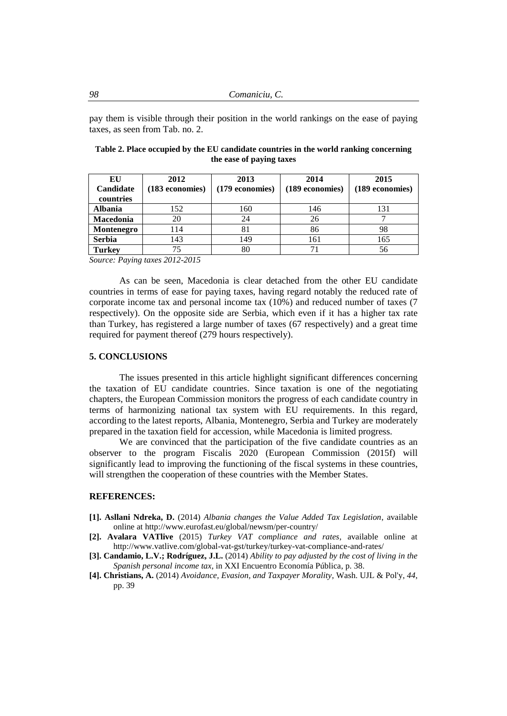pay them is visible through their position in the world rankings on the ease of paying taxes, as seen from Tab. no. 2.

| EU<br><b>Candidate</b><br>countries | 2012<br>(183 economies) | 2013<br>(179 economies) | 2014<br>(189 economies) | 2015<br>(189 economies) |
|-------------------------------------|-------------------------|-------------------------|-------------------------|-------------------------|
| <b>Albania</b>                      | 152                     | 160                     | 146                     | 131                     |
| <b>Macedonia</b>                    | 20                      | 24                      | 26                      |                         |
| Montenegro                          | 114                     | 81                      | 86                      | 98                      |
| <b>Serbia</b>                       | 143                     | 149                     | 161                     | 165                     |
| <b>Turkey</b>                       | 75                      | 80                      |                         | 56                      |

**Table 2. Place occupied by the EU candidate countries in the world ranking concerning the ease of paying taxes**

*Source: Paying taxes 2012-2015*

As can be seen, Macedonia is clear detached from the other EU candidate countries in terms of ease for paying taxes, having regard notably the reduced rate of corporate income tax and personal income tax (10%) and reduced number of taxes (7 respectively). On the opposite side are Serbia, which even if it has a higher tax rate than Turkey, has registered a large number of taxes (67 respectively) and a great time required for payment thereof (279 hours respectively).

### **5. CONCLUSIONS**

The issues presented in this article highlight significant differences concerning the taxation of EU candidate countries. Since taxation is one of the negotiating chapters, the European Commission monitors the progress of each candidate country in terms of harmonizing national tax system with EU requirements. In this regard, according to the latest reports, Albania, Montenegro, Serbia and Turkey are moderately prepared in the taxation field for accession, while Macedonia is limited progress.

We are convinced that the participation of the five candidate countries as an observer to the program Fiscalis 2020 (European Commission (2015f) will significantly lead to improving the functioning of the fiscal systems in these countries, will strengthen the cooperation of these countries with the Member States.

#### **REFERENCES:**

- **[1]. Asllani Ndreka, D.** (2014) *Albania changes the Value Added Tax Legislation*, available online at http://www.eurofast.eu/global/newsm/per-country/
- **[2]. Avalara VATlive** (2015) *Turkey VAT compliance and rates*, available online at http://www.vatlive.com/global-vat-gst/turkey/turkey-vat-compliance-and-rates/
- **[3]. Candamio, L.V.; Rodríguez, J.L.** (2014) *Ability to pay adjusted by the cost of living in the Spanish personal income tax,* in XXI Encuentro Economía Pública, p. 38.
- **[4]. Christians, A.** (2014) *Avoidance, Evasion, and Taxpayer Morality*, Wash. UJL & Pol'y, *44*, pp. 39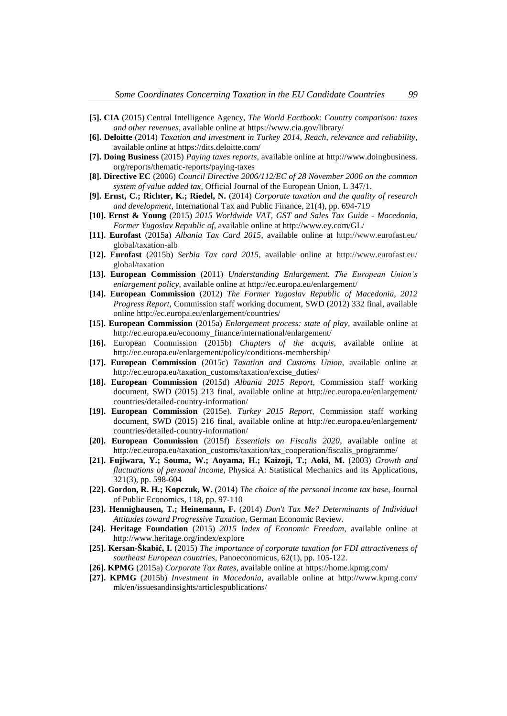- **[5]. CIA** (2015) Central Intelligence Agency, *The World Factbook: Country comparison: taxes and other revenues*, available online at https://www.cia.gov/library/
- **[6]. Deloitte** (2014) *Taxation and investment in Turkey 2014, Reach, relevance and reliability*, available online at https://dits.deloitte.com/
- **[7]. Doing Business** (2015) *Paying taxes reports*, available online at http://www.doingbusiness. org/reports/thematic-reports/paying-taxes
- **[8]. Directive EC** (2006) *Council Directive 2006/112/EC of 28 November 2006 on the common system of value added tax*, Official Journal of the European Union, L 347/1.
- **[9]. Ernst, C.; Richter, K.; Riedel, N.** (2014) *Corporate taxation and the quality of research and development*, International Tax and Public Finance, 21(4), pp. 694-719
- **[10]. Ernst & Young** (2015) *2015 Worldwide VAT, GST and Sales Tax Guide - Macedonia, Former Yugoslav Republic of*, available online at http://www.ey.com/GL/
- **[11]. Eurofast** (2015a) *Albania Tax Card 2015*, available online at http://www.eurofast.eu/ global/taxation-alb
- **[12]. Eurofast** (2015b) *Serbia Tax card 2015*, available online at http://www.eurofast.eu/ global/taxation
- **[13]. European Commission** (2011) *Understanding Enlargement. The European Union's enlargement policy*, available online at http://ec.europa.eu/enlargement/
- **[14]. European Commission** (2012) *The Former Yugoslav Republic of Macedonia, 2012 Progress Report*, Commission staff working document, SWD (2012) 332 final, available online http://ec.europa.eu/enlargement/countries/
- **[15]. European Commission** (2015a) *Enlargement process: state of play*, available online at http://ec.europa.eu/economy\_finance/international/enlargement/
- **[16].** European Commission (2015b) *Chapters of the acquis*, available online at http://ec.europa.eu/enlargement/policy/conditions-membership/
- **[17]. European Commission** (2015c) *Taxation and Customs Union*, available online at http://ec.europa.eu/taxation\_customs/taxation/excise\_duties/
- **[18]. European Commission** (2015d) *Albania 2015 Report*, Commission staff working document, SWD (2015) 213 final, available online at http://ec.europa.eu/enlargement/ countries/detailed-country-information/
- **[19]. European Commission** (2015e). *Turkey 2015 Report*, Commission staff working document, SWD (2015) 216 final, available online at http://ec.europa.eu/enlargement/ countries/detailed-country-information/
- **[20]. European Commission** (2015f) *Essentials on Fiscalis 2020*, available online at http://ec.europa.eu/taxation\_customs/taxation/tax\_cooperation/fiscalis\_programme/
- **[21]. Fujiwara, Y.; Souma, W.; Aoyama, H.; Kaizoji, T.; Aoki, M.** (2003) *Growth and fluctuations of personal income,* Physica A: Statistical Mechanics and its Applications, 321(3), pp. 598-604
- **[22]. Gordon, R. H.; Kopczuk, W.** (2014) *The choice of the personal income tax base*, Journal of Public Economics, 118, pp. 97-110
- **[23]. Hennighausen, T.; Heinemann, F.** (2014) *Don't Tax Me? Determinants of Individual Attitudes toward Progressive Taxation*, German Economic Review.
- **[24]. Heritage Foundation** (2015) *2015 Index of Economic Freedom*, available online at http://www.heritage.org/index/explore
- **[25]. Kersan-Škabić, I.** (2015) *The importance of corporate taxation for FDI attractiveness of southeast European countries*, Panoeconomicus, 62(1), pp. 105-122.
- **[26]. KPMG** (2015a) *Corporate Tax Rates*, available online at https://home.kpmg.com/
- **[27]. KPMG** (2015b) *Investment in Macedonia*, available online at http://www.kpmg.com/ mk/en/issuesandinsights/articlespublications/